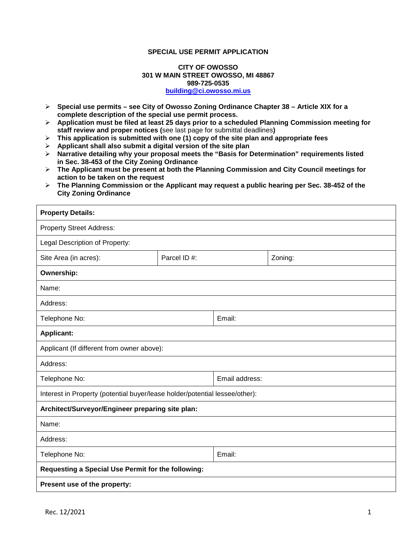#### **SPECIAL USE PERMIT APPLICATION**

### **CITY OF OWOSSO 301 W MAIN STREET OWOSSO, MI 48867 989-725-0535 [building@ci.owosso.mi.us](mailto:building@ci.owosso.mi.us)**

- **Special use permits – see City of Owosso Zoning Ordinance Chapter 38 – Article XIX for a complete description of the special use permit process.**
- **Application must be filed at least 25 days prior to a scheduled Planning Commission meeting for staff review and proper notices (**see last page for submittal deadlines**)**
- **This application is submitted with one (1) copy of the site plan and appropriate fees**
- **Applicant shall also submit a digital version of the site plan**
- **Narrative detailing why your proposal meets the "Basis for Determination" requirements listed in Sec. 38-453 of the City Zoning Ordinance**
- **The Applicant must be present at both the Planning Commission and City Council meetings for action to be taken on the request**
- **The Planning Commission or the Applicant may request a public hearing per Sec. 38-452 of the City Zoning Ordinance**

| <b>Property Details:</b>                                                    |             |                |         |  |  |
|-----------------------------------------------------------------------------|-------------|----------------|---------|--|--|
| <b>Property Street Address:</b>                                             |             |                |         |  |  |
| Legal Description of Property:                                              |             |                |         |  |  |
| Site Area (in acres):                                                       | Parcel ID#: |                | Zoning: |  |  |
| Ownership:                                                                  |             |                |         |  |  |
| Name:                                                                       |             |                |         |  |  |
| Address:                                                                    |             |                |         |  |  |
| Telephone No:                                                               |             | Email:         |         |  |  |
| <b>Applicant:</b>                                                           |             |                |         |  |  |
| Applicant (If different from owner above):                                  |             |                |         |  |  |
| Address:                                                                    |             |                |         |  |  |
| Telephone No:                                                               |             | Email address: |         |  |  |
| Interest in Property (potential buyer/lease holder/potential lessee/other): |             |                |         |  |  |
| Architect/Surveyor/Engineer preparing site plan:                            |             |                |         |  |  |
| Name:                                                                       |             |                |         |  |  |
| Address:                                                                    |             |                |         |  |  |
| Telephone No:                                                               |             | Email:         |         |  |  |
| Requesting a Special Use Permit for the following:                          |             |                |         |  |  |
| Present use of the property:                                                |             |                |         |  |  |